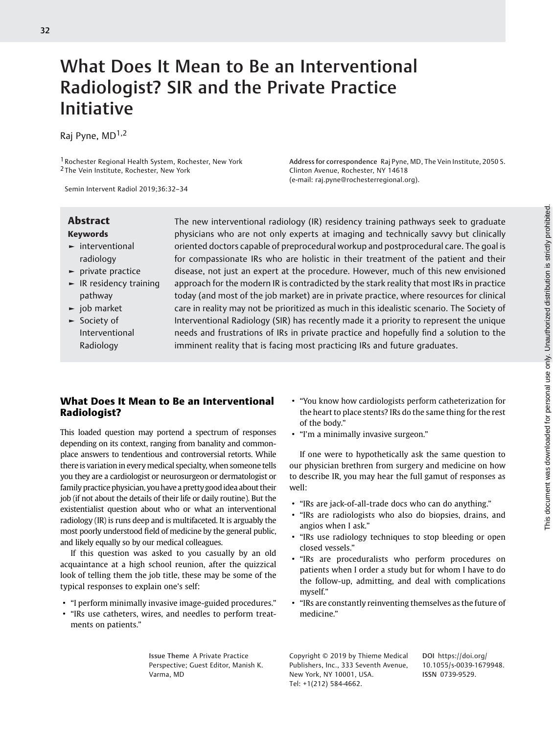32

## What Does It Mean to Be an Interventional Radiologist? SIR and the Private Practice Initiative

Rai Pyne,  $MD<sup>1,2</sup>$ 

1Rochester Regional Health System, Rochester, New York 2 The Vein Institute, Rochester, New York

Semin Intervent Radiol 2019;36:32–34

## Keywords

- ► interventional radiology
- ► private practice
- ► IR residency training pathway
- ► job market
- ► Society of Interventional Radiology

Abstract The new interventional radiology (IR) residency training pathways seek to graduate

Address for correspondence Raj Pyne, MD, The Vein Institute, 2050 S.

physicians who are not only experts at imaging and technically savvy but clinically oriented doctors capable of preprocedural workup and postprocedural care. The goal is for compassionate IRs who are holistic in their treatment of the patient and their disease, not just an expert at the procedure. However, much of this new envisioned approach for the modern IR is contradicted by the stark reality that most IRs in practice today (and most of the job market) are in private practice, where resources for clinical care in reality may not be prioritized as much in this idealistic scenario. The Society of Interventional Radiology (SIR) has recently made it a priority to represent the unique needs and frustrations of IRs in private practice and hopefully find a solution to the imminent reality that is facing most practicing IRs and future graduates.

Clinton Avenue, Rochester, NY 14618 (e-mail: [raj.pyne@rochesterregional.org](mailto:raj.pyne@rochesterregional.org)).

## What Does It Mean to Be an Interventional Radiologist?

This loaded question may portend a spectrum of responses depending on its context, ranging from banality and commonplace answers to tendentious and controversial retorts. While there is variation in every medical specialty, when someone tells you they are a cardiologist or neurosurgeon or dermatologist or family practice physician, you have a pretty good idea about their job (if not about the details of their life or daily routine). But the existentialist question about who or what an interventional radiology (IR) is runs deep and is multifaceted. It is arguably the most poorly understood field of medicine by the general public, and likely equally so by our medical colleagues.

If this question was asked to you casually by an old acquaintance at a high school reunion, after the quizzical look of telling them the job title, these may be some of the typical responses to explain one's self:

- "I perform minimally invasive image-guided procedures."
- "IRs use catheters, wires, and needles to perform treatments on patients."

Issue Theme A Private Practice Perspective; Guest Editor, Manish K. Varma, MD

- "You know how cardiologists perform catheterization for the heart to place stents? IRs do the same thing for the rest of the body."
- "I'm a minimally invasive surgeon."

If one were to hypothetically ask the same question to our physician brethren from surgery and medicine on how to describe IR, you may hear the full gamut of responses as well:

- "IRs are jack-of-all-trade docs who can do anything."
- "IRs are radiologists who also do biopsies, drains, and angios when I ask."
- "IRs use radiology techniques to stop bleeding or open closed vessels."
- "IRs are proceduralists who perform procedures on patients when I order a study but for whom I have to do the follow-up, admitting, and deal with complications myself."
- "IRs are constantly reinventing themselves as the future of medicine."

Copyright © 2019 by Thieme Medical Publishers, Inc., 333 Seventh Avenue, New York, NY 10001, USA. Tel: +1(212) 584-4662.

DOI [https://doi.org/](https://doi.org/10.1055/s-0039-1679948) [10.1055/s-0039-1679948](https://doi.org/10.1055/s-0039-1679948). ISSN 0739-9529.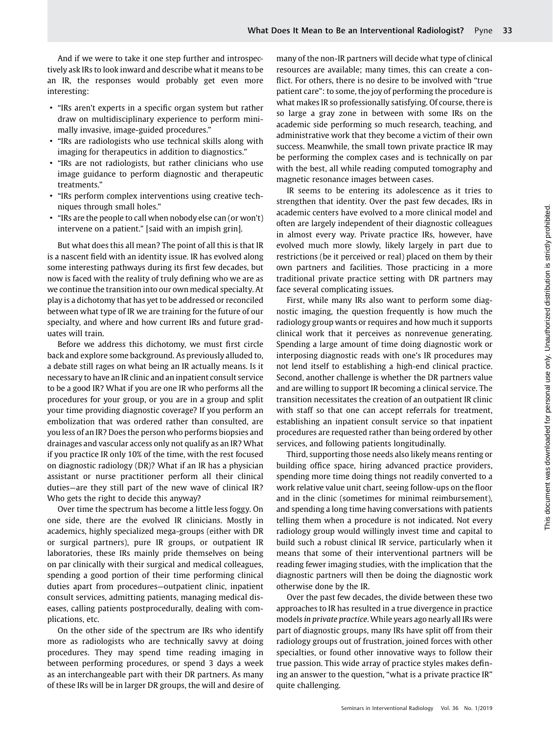And if we were to take it one step further and introspectively ask IRs to look inward and describe what it means to be an IR, the responses would probably get even more interesting:

- "IRs aren't experts in a specific organ system but rather draw on multidisciplinary experience to perform minimally invasive, image-guided procedures."
- "IRs are radiologists who use technical skills along with imaging for therapeutics in addition to diagnostics."
- "IRs are not radiologists, but rather clinicians who use image guidance to perform diagnostic and therapeutic treatments."
- "IRs perform complex interventions using creative techniques through small holes."
- "IRs are the people to call when nobody else can (or won't) intervene on a patient." [said with an impish grin].

But what does this all mean? The point of all this is that IR is a nascent field with an identity issue. IR has evolved along some interesting pathways during its first few decades, but now is faced with the reality of truly defining who we are as we continue the transition into our own medical specialty. At play is a dichotomy that has yet to be addressed or reconciled between what type of IR we are training for the future of our specialty, and where and how current IRs and future graduates will train.

Before we address this dichotomy, we must first circle back and explore some background. As previously alluded to, a debate still rages on what being an IR actually means. Is it necessary to have an IR clinic and an inpatient consult service to be a good IR? What if you are one IR who performs all the procedures for your group, or you are in a group and split your time providing diagnostic coverage? If you perform an embolization that was ordered rather than consulted, are you less of an IR? Does the person who performs biopsies and drainages and vascular access only not qualify as an IR? What if you practice IR only 10% of the time, with the rest focused on diagnostic radiology (DR)? What if an IR has a physician assistant or nurse practitioner perform all their clinical duties—are they still part of the new wave of clinical IR? Who gets the right to decide this anyway?

Over time the spectrum has become a little less foggy. On one side, there are the evolved IR clinicians. Mostly in academics, highly specialized mega-groups (either with DR or surgical partners), pure IR groups, or outpatient IR laboratories, these IRs mainly pride themselves on being on par clinically with their surgical and medical colleagues, spending a good portion of their time performing clinical duties apart from procedures—outpatient clinic, inpatient consult services, admitting patients, managing medical diseases, calling patients postprocedurally, dealing with complications, etc.

On the other side of the spectrum are IRs who identify more as radiologists who are technically savvy at doing procedures. They may spend time reading imaging in between performing procedures, or spend 3 days a week as an interchangeable part with their DR partners. As many of these IRs will be in larger DR groups, the will and desire of many of the non-IR partners will decide what type of clinical resources are available; many times, this can create a conflict. For others, there is no desire to be involved with "true patient care": to some, the joy of performing the procedure is what makes IR so professionally satisfying. Of course, there is so large a gray zone in between with some IRs on the academic side performing so much research, teaching, and administrative work that they become a victim of their own success. Meanwhile, the small town private practice IR may be performing the complex cases and is technically on par with the best, all while reading computed tomography and magnetic resonance images between cases.

IR seems to be entering its adolescence as it tries to strengthen that identity. Over the past few decades, IRs in academic centers have evolved to a more clinical model and often are largely independent of their diagnostic colleagues in almost every way. Private practice IRs, however, have evolved much more slowly, likely largely in part due to restrictions (be it perceived or real) placed on them by their own partners and facilities. Those practicing in a more traditional private practice setting with DR partners may face several complicating issues.

First, while many IRs also want to perform some diagnostic imaging, the question frequently is how much the radiology group wants or requires and how much it supports clinical work that it perceives as nonrevenue generating. Spending a large amount of time doing diagnostic work or interposing diagnostic reads with one's IR procedures may not lend itself to establishing a high-end clinical practice. Second, another challenge is whether the DR partners value and are willing to support IR becoming a clinical service. The transition necessitates the creation of an outpatient IR clinic with staff so that one can accept referrals for treatment, establishing an inpatient consult service so that inpatient procedures are requested rather than being ordered by other services, and following patients longitudinally.

Third, supporting those needs also likely means renting or building office space, hiring advanced practice providers, spending more time doing things not readily converted to a work relative value unit chart, seeing follow-ups on the floor and in the clinic (sometimes for minimal reimbursement), and spending a long time having conversations with patients telling them when a procedure is not indicated. Not every radiology group would willingly invest time and capital to build such a robust clinical IR service, particularly when it means that some of their interventional partners will be reading fewer imaging studies, with the implication that the diagnostic partners will then be doing the diagnostic work otherwise done by the IR.

Over the past few decades, the divide between these two approaches to IR has resulted in a true divergence in practice models in private practice. While years ago nearly all IRs were part of diagnostic groups, many IRs have split off from their radiology groups out of frustration, joined forces with other specialties, or found other innovative ways to follow their true passion. This wide array of practice styles makes defining an answer to the question, "what is a private practice IR" quite challenging.